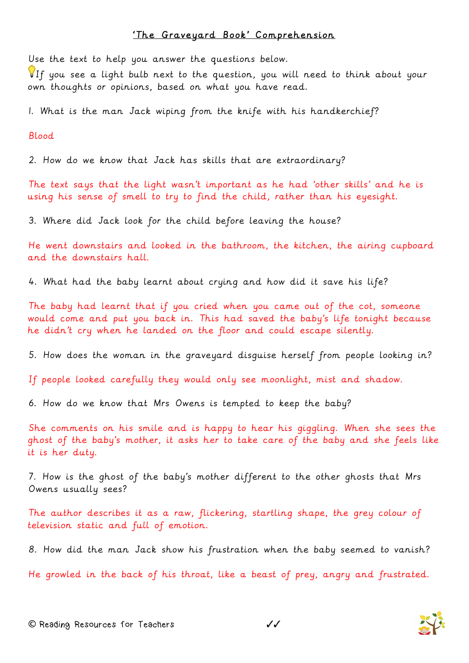## 'The Graveyard Book' Comprehension

Use the text to help you answer the questions below.

If you see a light bulb next to the question, you will need to think about your own thoughts or opinions, based on what you have read.

1. What is the man Jack wiping from the knife with his handkerchief?

Blood

2. How do we know that Jack has skills that are extraordinary?

The text says that the light wasn't important as he had 'other skills' and he is using his sense of smell to try to find the child, rather than his eyesight.

3. Where did Jack look for the child before leaving the house?

He went downstairs and looked in the bathroom, the kitchen, the airing cupboard and the downstairs hall.

4. What had the baby learnt about crying and how did it save his life?

The baby had learnt that if you cried when you came out of the cot, someone would come and put you back in. This had saved the baby's life tonight because he didn't cry when he landed on the floor and could escape silently.

5. How does the woman in the graveyard disguise herself from people looking in?

If people looked carefully they would only see moonlight, mist and shadow.

6. How do we know that Mrs Owens is tempted to keep the baby?

She comments on his smile and is happy to hear his giggling. When she sees the ghost of the baby's mother, it asks her to take care of the baby and she feels like it is her duty.

7. How is the ghost of the baby's mother different to the other ghosts that Mrs Owens usually sees?

The author describes it as a raw, flickering, startling shape, the grey colour of television static and full of emotion.

8. How did the man Jack show his frustration when the baby seemed to vanish?

He growled in the back of his throat, like a beast of prey, angry and frustrated.